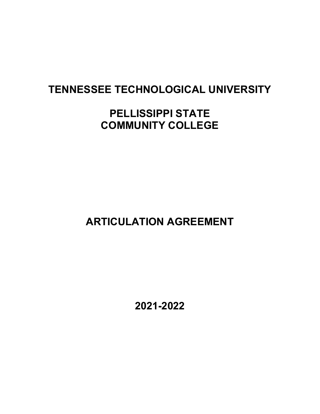# TENNESSEE TECHNOLOGICAL UNIVERSITY

# PELLISSIPPI STATE COMMUNITY COLLEGE

ARTICULATION AGREEMENT

2021-2022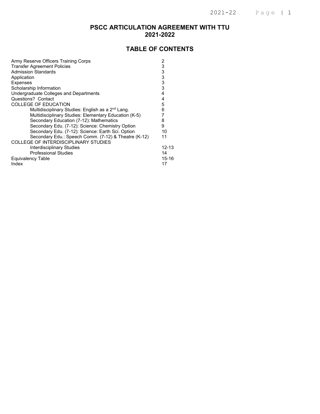### PSCC ARTICULATION AGREEMENT WITH TTU 2021-2022

### TABLE OF CONTENTS

| Army Reserve Officers Training Corps                          | 2         |
|---------------------------------------------------------------|-----------|
| <b>Transfer Agreement Policies</b>                            | 3         |
| <b>Admission Standards</b>                                    | 3         |
| Application                                                   | 3         |
| <b>Expenses</b>                                               | 3         |
| Scholarship Information                                       | 3         |
| Undergraduate Colleges and Departments                        | 4         |
| Questions? Contact                                            | 4         |
| <b>COLLEGE OF EDUCATION</b>                                   | 5         |
| Multidisciplinary Studies: English as a 2 <sup>nd</sup> Lang. | 6         |
| Multidisciplinary Studies: Elementary Education (K-5)         |           |
| Secondary Education (7-12): Mathematics                       | 8         |
| Secondary Edu. (7-12): Science: Chemistry Option              | 9         |
| Secondary Edu. (7-12): Science: Earth Sci. Option             | 10        |
| Secondary Edu.: Speech Comm. (7-12) & Theatre (K-12)          | 11        |
| COLLEGE OF INTERDISCIPLINARY STUDIES                          |           |
| Interdisciplinary Studies                                     | $12 - 13$ |
| <b>Professional Studies</b>                                   | 14        |
| Equivalency Table                                             | $15 - 16$ |
| Index                                                         | 17        |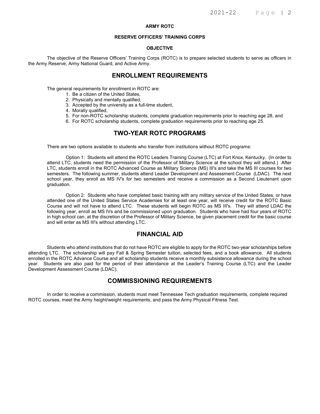#### ARMY ROTC

#### RESERVE OFFICERS' TRAINING CORPS

#### OBJECTIVE

The objective of the Reserve Officers' Training Corps (ROTC) is to prepare selected students to serve as officers in the Army Reserve, Army National Guard, and Active Army.

### ENROLLMENT REQUIREMENTS

The general requirements for enrollment in ROTC are:

- 1. Be a citizen of the United States,
- 2. Physically and mentally qualified,
- 3. Accepted by the university as a full-time student,
- 4. Morally qualified,
- 5. For non-ROTC scholarship students, complete graduation requirements prior to reaching age 28, and
- 6. For ROTC scholarship students, complete graduation requirements prior to reaching age 25.

### TWO-YEAR ROTC PROGRAMS

There are two options available to students who transfer from institutions without ROTC programs:

Option 1: Students will attend the ROTC Leaders Training Course (LTC) at Fort Knox, Kentucky. (In order to attend LTC, students need the permission of the Professor of Military Science at the school they will attend.) After LTC, students enroll in the ROTC Advanced Course as Military Science (MS) III's and take the MS III courses for two semesters. The following summer, students attend Leader Development and Assessment Course (LDAC). The next school year, they enroll as MS IV's for two semesters and receive a commission as a Second Lieutenant upon graduation.

Option 2: Students who have completed basic training with any military service of the United States, or have attended one of the United States Service Academies for at least one year, will receive credit for the ROTC Basic Course and will not have to attend LTC. These students will begin ROTC as MS III's. They will attend LDAC the following year, enroll as MS IVs and be commissioned upon graduation. Students who have had four years of ROTC in high school can, at the discretion of the Professor of Military Science, be given placement credit for the basic course and will enter as MS III's without attending LTC.

### FINANCIAL AID

Students who attend institutions that do not have ROTC are eligible to apply for the ROTC two-year scholarships before attending LTC. The scholarship will pay Fall & Spring Semester tuition, selected fees, and a book allowance. All students enrolled in the ROTC Advance Course and all scholarship students receive a monthly subsistence allowance during the school year. Students are also paid for the period of their attendance at the Leader's Training Course (LTC) and the Leader Development Assessment Course (LDAC).

#### COMMISSIONING REQUIREMENTS

In order to receive a commission, students must meet Tennessee Tech graduation requirements, complete required ROTC courses, meet the Army height/weight requirements, and pass the Army Physical Fitness Test.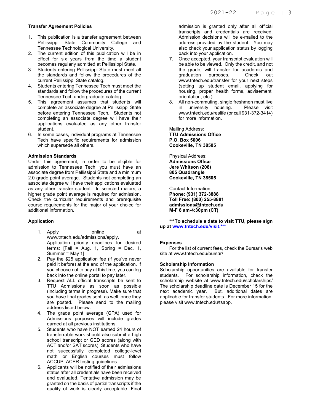#### Transfer Agreement Policies

- 1. This publication is a transfer agreement between Pellissippi State Community College and Tennessee Technological University.
- 2. The current edition of this publication will be in effect for six years from the time a student becomes regularly admitted at Pellissippi State.
- 3. Students entering Pellissippi State must meet all the standards and follow the procedures of the current Pellissippi State catalog.
- 4. Students entering Tennessee Tech must meet the standards and follow the procedures of the current Tennessee Tech undergraduate catalog.
- 5. This agreement assumes that students will complete an associate degree at Pellissippi State before entering Tennessee Tech. Students not completing an associate degree will have their applications evaluated as any other transfer student.
- 6. In some cases, individual programs at Tennessee Tech have specific requirements for admission which supersede all others.

#### Admission Standards

Under this agreement, in order to be eligible for admission to Tennessee Tech, you must have an associate degree from Pellissippi State and a minimum 2.0 grade point average. Students not completing an associate degree will have their applications evaluated as any other transfer student. In selected majors, a higher grade point average is required for admission. Check the curricular requirements and prerequisite course requirements for the major of your choice for additional information.

#### Application

- 1. Apply online at www.tntech.edu/admissions/apply. Application priority deadlines for desired terms:  $[Fall = Aug. 1, Spring = Dec. 1, ]$ Summer = May 1]
- 2. Pay the \$25 application fee (if you've never paid it before) at the end of the application. If you choose not to pay at this time, you can log back into the online portal to pay later.
- 3. Request ALL official transcripts be sent to TTU Admissions as soon as possible (including terms in progress). Make sure that you have final grades sent, as well, once they are posted. Please send to the mailing address listed below.
- 4. The grade point average (GPA) used for Admissions purposes will include grades earned at all previous institutions.
- 5. Students who have NOT earned 24 hours of transferrable work should also submit a high school transcript or GED scores (along with ACT and/or SAT scores). Students who have not successfully completed college-level math or English courses must follow ACCUPLACER testing guidelines.
- 6. Applicants will be notified of their admissions status after all credentials have been received and evaluated. Tentative admission may be granted on the basis of partial transcripts if the quality of work is clearly acceptable. Final

admission is granted only after all official transcripts and credentials are received. Admission decisions will be e-mailed to the address provided by the student. You may also check your application status by logging back into your application.

- 7. Once accepted, your transcript evaluation will be able to be viewed. Only the credit, and not the grade, will transfer for academic and<br>graduation purposes. Check out graduation purposes. Check out www.tntech.edu/transfer for your next steps (setting up student email, applying for housing, proper health forms, advisement, orientation, etc.)
- 8. All non-commuting, single freshmen must live in university housing. Please visit www.tntech.edu/reslife (or call 931-372-3414) for more information.

Mailing Address: TTU Admissions Office P.O. Box 5006 Cookeville, TN 38505

Physical Address: Admissions Office Jere Whitson (208) 805 Quadrangle Cookeville, TN 38505

Contact Information: Phone: (931) 372-3888 Toll Free: (800) 255-8881 admissions@tntech.edu M-F 8 am-4:30pm (CT)

\*\*\*To schedule a date to visit TTU, please sign up at www.tntech.edu/visit.\*\*\*

#### **Expenses**

 For the list of current fees, check the Bursar's web site at www.tntech.edu/bursar/

#### Scholarship Information

Scholarship opportunities are available for transfer students. For scholarship information, check the scholarship website at www.tntech.edu/scholarships/ The scholarship deadline date is December 15 for the next academic year. But, additional dates are applicable for transfer students. For more information, please visit www.tntech.edu/tsapp.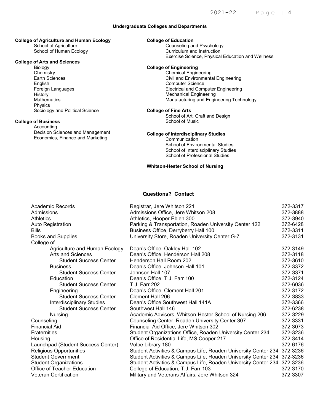#### Undergraduate Colleges and Departments

### College of Agriculture and Human Ecology

 School of Agriculture School of Human Ecology

#### College of Arts and Sciences

 Biology **Chemistry** Earth Sciences English Foreign Languages **History Mathematics**  Physics Sociology and Political Science

#### College of Business

 Accounting Decision Sciences and Management Economics, Finance and Marketing

#### College of Education

Counseling and Psychology<br>Counseling and Instruction **Exercise Science, Physical Education and Wellness** Curriculum and Instruction

### PERLIS AND SUCTION OF THE COLLEGE AREA COLLEGE AND COLLEGE OF Engineering

Chemical Engineering Civil and Environmental Engineering Computer Science Electrical and Computer Engineering Mechanical Engineering Manufacturing and Engineering Technology

#### College of Fine Arts

School of Art, Craft and Design School of Music

#### College of Interdisciplinary Studies

**Communication** School of Environmental Studies School of Interdisciplinary Studies School of Professional Studies

#### Whitson-Hester School of Nursing

#### Questions? Contact

| <b>Academic Records</b>            | Registrar, Jere Whitson 221                                             | 372-3317 |
|------------------------------------|-------------------------------------------------------------------------|----------|
| Admissions                         | Admissions Office, Jere Whitson 208                                     | 372-3888 |
| <b>Athletics</b>                   | Athletics, Hooper Eblen 300                                             | 372-3940 |
| Auto Registration                  | Parking & Transportation, Roaden University Center 122                  | 372-6428 |
| <b>Bills</b>                       | Business Office, Derryberry Hall 100                                    | 372-3311 |
| <b>Books and Supplies</b>          | University Store, Roaden University Center G-7                          | 372-3131 |
| College of                         |                                                                         |          |
| Agriculture and Human Ecology      | Dean's Office, Oakley Hall 102                                          | 372-3149 |
| Arts and Sciences                  | Dean's Office, Henderson Hall 208                                       | 372-3118 |
| <b>Student Success Center</b>      | Henderson Hall Room 202                                                 | 372-3610 |
| <b>Business</b>                    | Dean's Office, Johnson Hall 101                                         | 372-3372 |
| <b>Student Success Center</b>      | Johnson Hall 107                                                        | 372-3371 |
| Education                          | Dean's Office, T.J. Farr 100                                            | 372-3124 |
| <b>Student Success Center</b>      | T.J. Farr 202                                                           | 372-6036 |
| Engineering                        | Dean's Office, Clement Hall 201                                         | 372-3172 |
| <b>Student Success Center</b>      | Clement Hall 206                                                        | 372-3833 |
| <b>Interdisciplinary Studies</b>   | Dean's Office Southwest Hall 141A                                       | 372-3366 |
| <b>Student Success Center</b>      | Southwest Hall 146                                                      | 372-6238 |
| <b>Nursing</b>                     | Academic Advisors, Whitson-Hester School of Nursing 206                 | 372-3229 |
| Counseling                         | Counseling Center, Roaden University Center 307                         | 372-3331 |
| <b>Financial Aid</b>               | Financial Aid Office, Jere Whitson 302                                  | 372-3073 |
| <b>Fraternities</b>                | Student Organizations Office, Roaden University Center 234              | 372-3236 |
| Housing                            | Office of Residential Life, MS Cooper 217                               | 372-3414 |
| Launchpad (Student Success Center) | Volpe Library 180                                                       | 372-6176 |
| Religious Opportunities            | Student Activities & Campus Life, Roaden University Center 234 372-3236 |          |
| <b>Student Government</b>          | Student Activities & Campus Life, Roaden University Center 234 372-3236 |          |
| <b>Student Organizations</b>       | Student Activities & Campus Life, Roaden University Center 234          | 372-3236 |
| Office of Teacher Education        | College of Education, T.J. Farr 103                                     | 372-3170 |
| <b>Veteran Certification</b>       | Military and Veterans Affairs, Jere Whitson 324                         | 372-3307 |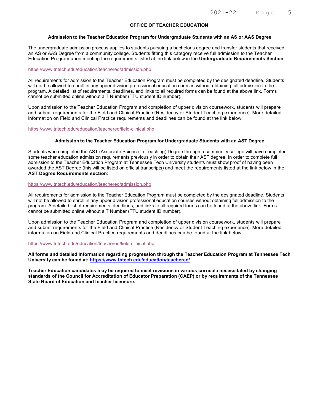#### OFFICE OF TEACHER EDUCATION

#### Admission to the Teacher Education Program for Undergraduate Students with an AS or AAS Degree

The undergraduate admission process applies to students pursuing a bachelor's degree and transfer students that received an AS or AAS Degree from a community college. Students fitting this category receive full admission to the Teacher Education Program upon meeting the requirements listed at the link below in the Undergraduate Requirements Section:

#### https://www.tntech.edu/education/teachered/admission.php

All requirements for admission to the Teacher Education Program must be completed by the designated deadline. Students will not be allowed to enroll in any upper division professional education courses without obtaining full admission to the program. A detailed list of requirements, deadlines, and links to all required forms can be found at the above link. Forms cannot be submitted online without a T Number (TTU student ID number).

Upon admission to the Teacher Education Program and completion of upper division coursework, students will prepare and submit requirements for the Field and Clinical Practice (Residency or Student Teaching experience). More detailed information on Field and Clinical Practice requirements and deadlines can be found at the link below:

https://www.tntech.edu/education/teachered/field-clinical.php

#### Admission to the Teacher Education Program for Undergraduate Students with an AST Degree

Students who completed the AST (Associate Science in Teaching) Degree through a community college will have completed some teacher education admission requirements previously in order to obtain their AST degree. In order to complete full admission to the Teacher Education Program at Tennessee Tech University students must show proof of having been awarded the AST Degree (this will be listed on official transcripts) and meet the requirements listed at the link below in the AST Degree Requirements section:

#### https://www.tntech.edu/education/teachered/admission.php

All requirements for admission to the Teacher Education Program must be completed by the designated deadline. Students will not be allowed to enroll in any upper division professional education courses without obtaining full admission to the program. A detailed list of requirements, deadlines, and links to all required forms can be found at the above link. Forms cannot be submitted online without a T Number (TTU student ID number).

Upon admission to the Teacher Education Program and completion of upper division coursework, students will prepare and submit requirements for the Field and Clinical Practice (Residency or Student Teaching experience). More detailed information on Field and Clinical Practice requirements and deadlines can be found at the link below:

#### https://www.tntech.edu/education/teachered/field-clinical.php

All forms and detailed information regarding progression through the Teacher Education Program at Tennessee Tech University can be found at: https://www.tntech.edu/education/teachered/

Teacher Education candidates may be required to meet revisions in various curricula necessitated by changing standards of the Council for Accreditation of Educator Preparation (CAEP) or by requirements of the Tennessee State Board of Education and teacher licensure.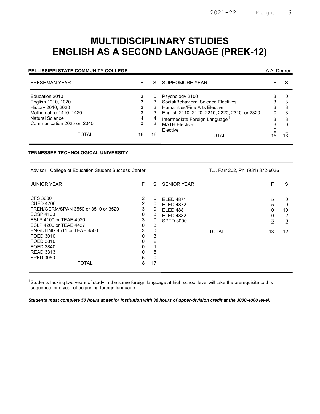# MULTIDISCIPLINARY STUDIES ENGLISH AS A SECOND LANGUAGE (PREK-12)

#### PELLISSIPPI STATE COMMUNITY COLLEGE A.A. Degree A.A. Degree

| <b>FRESHMAN YEAR</b>                                                                                                                                         |                                         | S              | <b>ISOPHOMORE YEAR</b>                                                                                                                                                                                                                     |              |                   |
|--------------------------------------------------------------------------------------------------------------------------------------------------------------|-----------------------------------------|----------------|--------------------------------------------------------------------------------------------------------------------------------------------------------------------------------------------------------------------------------------------|--------------|-------------------|
| Education 2010<br>English 1010, 1020<br>History 2010, 2020<br>Mathematics 1410, 1420<br><b>Natural Science</b><br>Communication 2025 or 2045<br><b>TOTAL</b> | 3<br>3<br>3<br>3<br>4<br><u>0</u><br>16 | <u>3</u><br>16 | Psychology 2100<br>Social/Behavioral Science Electives<br><b>Humanities/Fine Arts Elective</b><br>English 2110, 2120, 2210, 2220, 2310, or 2320<br>Intermediate Foreign Language <sup>1</sup><br><b>MATH Elective</b><br>Elective<br>TOTAL | 3<br>0<br>15 | 3<br>3<br>3<br>13 |

#### TENNESSEE TECHNOLOGICAL UNIVERSITY

Advisor: College of Education Student Success Center T.J. Farr 202, Ph: (931) 372-6036

| <b>JUNIOR YEAR</b>                                                                                                                                                                                                                                                        | F                                                                                  | S                                                                                 | <b>SENIOR YEAR</b>                                                                          | F                 | S                                         |
|---------------------------------------------------------------------------------------------------------------------------------------------------------------------------------------------------------------------------------------------------------------------------|------------------------------------------------------------------------------------|-----------------------------------------------------------------------------------|---------------------------------------------------------------------------------------------|-------------------|-------------------------------------------|
| CFS 3600<br><b>CUED 4700</b><br>FREN/GERM/SPAN 3550 or 3510 or 3520<br><b>ECSP 4100</b><br>ESLP 4100 or TEAE 4020<br>ESLP 4200 or TEAE 4437<br>ENGL/LING 4511 or TEAE 4500<br>FOED 3010<br>FOED 3810<br>FOED 3840<br><b>READ 3313</b><br><b>SPED 3050</b><br><b>TOTAL</b> | 2<br>$\overline{2}$<br>3<br>0<br>3<br>0<br>3<br>0<br>0<br>0<br>0<br>$\frac{5}{18}$ | 0<br>0<br>0<br>3<br>0<br>3<br>$\mathbf 0$<br>3<br>2<br>5<br>$\underline{0}$<br>17 | ELED 4871<br><b>ELED 4872</b><br>ELED 4881<br>ELED 4882<br><b>SPED 3000</b><br><b>TOTAL</b> | 5<br>5<br>3<br>13 | 0<br>0<br>10<br>2<br>$\overline{0}$<br>12 |

<sup>1</sup>Students lacking two years of study in the same foreign language at high school level will take the prerequisite to this sequence: one year of beginning foreign language.

Students must complete 50 hours at senior institution with 36 hours of upper-division credit at the 3000-4000 level.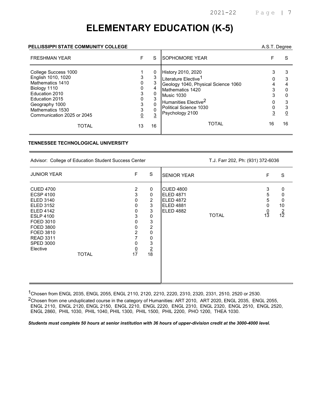# ELEMENTARY EDUCATION (K-5)

#### PELLISSIPPI STATE COMMUNITY COLLEGE A.S.T. Degree

| <b>FRESHMAN YEAR</b>                                                                                                                                                                   | F      | S                             | ISOPHOMORE YEAR                                                                                                                                                                                                         |    | S           |
|----------------------------------------------------------------------------------------------------------------------------------------------------------------------------------------|--------|-------------------------------|-------------------------------------------------------------------------------------------------------------------------------------------------------------------------------------------------------------------------|----|-------------|
| College Success 1000<br>English 1010, 1020<br>Mathematics 1410<br>Biology 1110<br>Education 2010<br>Education 2015<br>Geography 1000<br>Mathematics 1530<br>Communication 2025 or 2045 | 0<br>3 | 0<br>3<br>3<br>$\overline{3}$ | <b>History 2010, 2020</b><br>Literature Elective <sup>1</sup><br>Geology 1040, Physical Science 1060<br>Mathematics 1420<br>Music 1030<br>Humanities Elective <sup>2</sup><br>Political Science 1030<br>Psychology 2100 |    | Ω<br>3<br>0 |
| TOTAL                                                                                                                                                                                  | 13     | 16                            | <b>TOTAL</b>                                                                                                                                                                                                            | 16 | 16          |

#### TENNESSEE TECHNOLOGICAL UNIVERSITY

Advisor: College of Education Student Success Center T.J. Farr 202, Ph: (931) 372-6036

| <b>JUNIOR YEAR</b>                                                                                                                                                                                                                     | F                                                                     | S                                                                                                                 | <b>SENIOR YEAR</b>                                                                                        | F                                  | S                                   |
|----------------------------------------------------------------------------------------------------------------------------------------------------------------------------------------------------------------------------------------|-----------------------------------------------------------------------|-------------------------------------------------------------------------------------------------------------------|-----------------------------------------------------------------------------------------------------------|------------------------------------|-------------------------------------|
| <b>CUED 4700</b><br><b>ECSP 4100</b><br><b>ELED 3140</b><br><b>ELED 3152</b><br><b>ELED 4142</b><br><b>ESLP 4100</b><br>FOED 3010<br><b>FOED 3800</b><br>FOED 3810<br><b>READ 3311</b><br><b>SPED 3000</b><br>Elective<br><b>TOTAL</b> | 2<br>3<br>0<br>0<br>0<br>3<br>0<br>0<br>2<br>7<br>0<br>$\frac{0}{17}$ | 0<br>0<br>$\overline{2}$<br>3<br>3<br>$\pmb{0}$<br>3<br>$\overline{c}$<br>$\mathbf 0$<br>0<br>3<br>$\frac{2}{18}$ | <b>CUED 4800</b><br>ELED 4871<br><b>ELED 4872</b><br><b>ELED 4881</b><br><b>ELED 4882</b><br><b>TOTAL</b> | 3<br>5<br>5<br>0<br>$\frac{0}{13}$ | 0<br>0<br>0<br>10<br>$\frac{2}{12}$ |

1Chosen from ENGL 2035, ENGL 2055, ENGL 2110, 2120, 2210, 2220, 2310, 2320, 2331, 2510, 2520 or 2530.

2Chosen from one unduplicated course in the category of Humanities: ART 2010, ART 2020, ENGL 2035, ENGL 2055, ENGL 2110, ENGL 2120, ENGL 2150, ENGL 2210, ENGL 2220, ENGL 2310, ENGL 2320, ENGL 2510, ENGL 2520, ENGL 2860, PHIL 1030, PHIL 1040, PHIL 1300, PHIL 1500, PHIL 2200, PHO 1200, THEA 1030.

Students must complete 50 hours at senior institution with 36 hours of upper-division credit at the 3000-4000 level.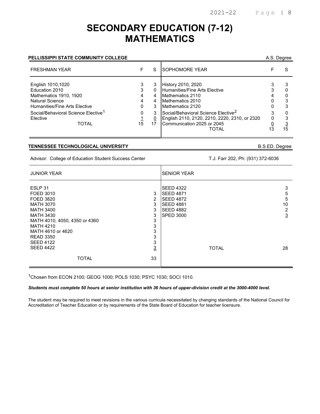### SECONDARY EDUCATION (7-12) MATHEMATICS

#### PELLISSIPPI STATE COMMUNITY COLLEGE

| A.S. Degree |
|-------------|
|             |

| <b>FRESHMAN YEAR</b>                                                                                                                                                        |             | S                | ISOPHOMORE YEAR                                                                                                                                                           |    |
|-----------------------------------------------------------------------------------------------------------------------------------------------------------------------------|-------------|------------------|---------------------------------------------------------------------------------------------------------------------------------------------------------------------------|----|
| English 1010,1020<br>Education 2010<br>Mathematics 1910, 1920<br><b>Natural Science</b><br>Humanities/Fine Arts Elective<br>Social/Behavioral Science Elective <sup>1</sup> | 3<br>0<br>0 | 0<br>4<br>4<br>3 | <b>History 2010, 2020</b><br>Humanities/Fine Arts Elective<br>Mathematics 2110<br>Mathematics 2010<br>Mathematics 2120<br>Social/Behavioral Science Elective <sup>2</sup> |    |
| <b>Flective</b><br>TOTAL                                                                                                                                                    | 15          | 0                | English 2110, 2120, 2210, 2220, 2310, or 2320<br>Communication 2025 or 2045<br>TOTAL                                                                                      | 15 |

#### TENNESSEE TECHNOLOGICAL UNIVERSITY B.S.ED. Degree

Advisor: College of Education Student Success Center T.J. Farr 202, Ph: (931) 372-6036

| <b>JUNIOR YEAR</b>                                                                                                                                                                                 | <b>SENIOR YEAR</b>                                                                                                                                                            |
|----------------------------------------------------------------------------------------------------------------------------------------------------------------------------------------------------|-------------------------------------------------------------------------------------------------------------------------------------------------------------------------------|
| ESLP 31<br>3<br>FOED 3010<br>$\overline{2}$<br>FOED 3820<br>3<br><b>MATH 3070</b><br>3<br><b>MATH 3400</b><br>3<br><b>MATH 3430</b><br>3<br>MATH 4010, 4050, 4350 or 4360<br>3<br><b>MATH 4210</b> | <b>SEED 4322</b><br>3<br><b>SEED 4871</b><br>5<br><b>SEED 4872</b><br>5<br>10<br><b>SEED 4881</b><br><b>SEED 4882</b><br>$\overline{2}$<br>$\overline{3}$<br><b>SPED 3000</b> |
| 3<br>MATH 4610 or 4620<br>3<br><b>READ 3350</b><br>3<br><b>SEED 4122</b><br>$\overline{3}$<br><b>SEED 4422</b><br>33<br><b>TOTAL</b>                                                               | <b>TOTAL</b><br>28                                                                                                                                                            |

1Chosen from ECON 2100; GEOG 1000; POLS 1030; PSYC 1030; SOCI 1010.

#### Students must complete 50 hours at senior institution with 36 hours of upper-division credit at the 3000-4000 level.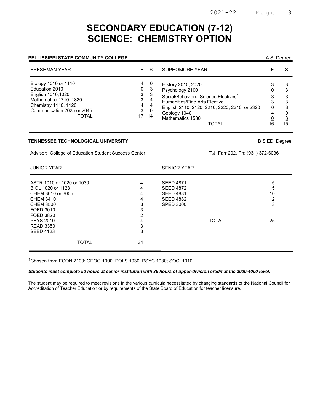### SECONDARY EDUCATION (7-12) SCIENCE: CHEMISTRY OPTION

#### PELLISSIPPI STATE COMMUNITY COLLEGE

| A.S. Degree |
|-------------|
|             |

| <b>FRESHMAN YEAR</b>                                                                                                                                        | F.                                      | <sub>S</sub>                        | <b>SOPHOMORE YEAR</b>                                                                                                                                                                                                           |         |
|-------------------------------------------------------------------------------------------------------------------------------------------------------------|-----------------------------------------|-------------------------------------|---------------------------------------------------------------------------------------------------------------------------------------------------------------------------------------------------------------------------------|---------|
| Biology 1010 or 1110<br>Education 2010<br>English 1010,1020<br>Mathematics 1710, 1830<br>Chemistry 1110, 1120<br>Communication 2025 or 2045<br><b>TOTAL</b> | 4<br>0<br>3<br>3<br>4<br>$\frac{3}{17}$ | -0<br>-3<br>-3<br>4<br>4<br>Q<br>14 | <b>History 2010, 2020</b><br>Psychology 2100<br>Social/Behavioral Science Electives <sup>1</sup><br>Humanities/Fine Arts Elective<br>English 2110, 2120, 2210, 2220, 2310, or 2320<br>Geology 1040<br>Mathematics 1530<br>TOTAL | 3<br>15 |

#### TENNESSEE TECHNOLOGICAL UNIVERSITY B.S.ED. Degree

Advisor: College of Education Student Success Center T.J. Farr 202, Ph: (931) 372-6036

| <b>JUNIOR YEAR</b>                                                                                                                    |                                 | <b>ISENIOR YEAR</b>                                                                              |                        |
|---------------------------------------------------------------------------------------------------------------------------------------|---------------------------------|--------------------------------------------------------------------------------------------------|------------------------|
| ASTR 1010 or 1020 or 1030<br>BIOL 1020 or 1123<br>CHEM 3010 or 3005<br><b>CHEM 3410</b><br><b>CHEM 3500</b><br>FOED 3010<br>FOED 3820 | 4<br>4<br>4<br>4<br>3<br>3<br>2 | <b>SEED 4871</b><br><b>SEED 4872</b><br><b>SEED 4881</b><br><b>SEED 4882</b><br><b>SPED 3000</b> | 5<br>5<br>10<br>2<br>3 |
| <b>PHYS 2010</b><br><b>READ 3350</b><br><b>SEED 4123</b><br><b>TOTAL</b>                                                              | 4<br>3<br>$\overline{3}$<br>34  | <b>TOTAL</b>                                                                                     | 25                     |

1Chosen from ECON 2100; GEOG 1000; POLS 1030; PSYC 1030; SOCI 1010.

#### Students must complete 50 hours at senior institution with 36 hours of upper-division credit at the 3000-4000 level.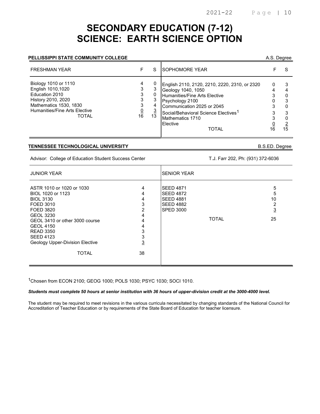# SECONDARY EDUCATION (7-12) SCIENCE: EARTH SCIENCE OPTION

#### PELLISSIPPI STATE COMMUNITY COLLEGE

| A.S. Degree |  |
|-------------|--|
|             |  |

| <b>FRESHMAN YEAR</b>                                                                                                                                                |                               | S  | <b>ISOPHOMORE YEAR</b>                                                                                                                                                                                                                                    |         |         |
|---------------------------------------------------------------------------------------------------------------------------------------------------------------------|-------------------------------|----|-----------------------------------------------------------------------------------------------------------------------------------------------------------------------------------------------------------------------------------------------------------|---------|---------|
| Biology 1010 or 1110<br>English 1010,1020<br>Education 2010<br>History 2010, 2020<br>Mathematics 1530, 1830<br><b>Humanities/Fine Arts Elective</b><br><b>TOTAL</b> | 3<br>3<br>3<br><u>0</u><br>16 | 13 | English 2110, 2120, 2210, 2220, 2310, or 2320<br>Geology 1040, 1050<br>Humanities/Fine Arts Elective<br>Psychology 2100<br>Communication 2025 or 2045<br>Social/Behavioral Science Electives <sup>1</sup><br>Mathematics 1710<br>Elective<br><b>TOTAL</b> | 0<br>16 | 0<br>15 |

#### TENNESSEE TECHNOLOGICAL UNIVERSITY B.S.ED. Degree

Advisor: College of Education Student Success Center T.J. Farr 202, Ph: (931) 372-6036

| <b>JUNIOR YEAR</b>                                                                                                                                                                                                                                                |                                                                                     | <b>SENIOR YEAR</b>                                                                                               |                                           |
|-------------------------------------------------------------------------------------------------------------------------------------------------------------------------------------------------------------------------------------------------------------------|-------------------------------------------------------------------------------------|------------------------------------------------------------------------------------------------------------------|-------------------------------------------|
| ASTR 1010 or 1020 or 1030<br>BIOL 1020 or 1123<br><b>BIOL 3130</b><br>FOED 3010<br>FOED 3820<br><b>GEOL 3230</b><br>GEOL 3410 or other 3000 course<br><b>GEOL 4150</b><br><b>READ 3350</b><br><b>SEED 4123</b><br>Geology Upper-Division Elective<br><b>TOTAL</b> | 4<br>4<br>4<br>3<br>$\overline{2}$<br>4<br>4<br>4<br>3<br>3<br>$\overline{3}$<br>38 | <b>SEED 4871</b><br><b>SEED 4872</b><br><b>SEED 4881</b><br><b>SEED 4882</b><br><b>SPED 3000</b><br><b>TOTAL</b> | 5<br>5<br>10<br>2<br>$\overline{3}$<br>25 |

1Chosen from ECON 2100; GEOG 1000; POLS 1030; PSYC 1030; SOCI 1010.

Students must complete 50 hours at senior institution with 36 hours of upper-division credit at the 3000-4000 level.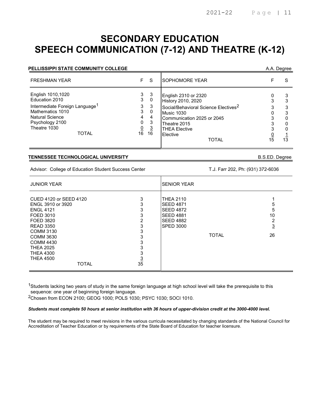## SECONDARY EDUCATION SPEECH COMMUNICATION (7-12) AND THEATRE (K-12)

| <b>PELLISSIPPI STATE COMMUNITY COLLEGE</b>                                                                                                                                  |                                              |                                                     |                                                                                                                                                                                                                |                 | A.A. Degree  |
|-----------------------------------------------------------------------------------------------------------------------------------------------------------------------------|----------------------------------------------|-----------------------------------------------------|----------------------------------------------------------------------------------------------------------------------------------------------------------------------------------------------------------------|-----------------|--------------|
| <b>FRESHMAN YEAR</b>                                                                                                                                                        | F.                                           | -S                                                  | <b>SOPHOMORE YEAR</b>                                                                                                                                                                                          |                 | S            |
| English 1010,1020<br>Education 2010<br>Intermediate Foreign Language <sup>1</sup><br>Mathematics 1010<br>Natural Science<br>Psychology 2100<br>Theatre 1030<br><b>TOTAL</b> | 3<br>3<br>3<br>3<br>4<br>0<br>$\frac{0}{16}$ | -3<br>0<br>3<br>0<br>4<br>3<br>$\overline{3}$<br>16 | English 2310 or 2320<br>History 2010, 2020<br>Social/Behavioral Science Electives <sup>2</sup><br>Music 1030<br>Communication 2025 or 2045<br>Theatre 2015<br><b>THEA Elective</b><br>Elective<br><b>TOTAL</b> | $1\overline{5}$ | 3<br>3<br>13 |

#### TENNESSEE TECHNOLOGICAL UNIVERSITY B.S.ED. Degree

Advisor: College of Education Student Success Center T.J. Farr 202, Ph: (931) 372-6036

| <b>JUNIOR YEAR</b>                                                                                                                                                                                                                             |                                                                       | <b>SENIOR YEAR</b>                                                                                            |              |                                 |
|------------------------------------------------------------------------------------------------------------------------------------------------------------------------------------------------------------------------------------------------|-----------------------------------------------------------------------|---------------------------------------------------------------------------------------------------------------|--------------|---------------------------------|
| CUED 4120 or SEED 4120<br>ENGL 3910 or 3920<br><b>ENGL 4121</b><br>FOED 3010<br>FOED 3820<br><b>READ 3350</b><br>COMM 3130<br><b>COMM 3630</b><br><b>COMM 4430</b><br><b>THEA 2025</b><br><b>THEA 4300</b><br><b>THEA 4500</b><br><b>TOTAL</b> | 3<br>3<br>3<br>3<br>2<br>3<br>3<br>3<br>3<br>3<br>3<br>$\frac{3}{35}$ | THEA 2110<br><b>SEED 4871</b><br><b>SEED 4872</b><br><b>SEED 4881</b><br><b>SEED 4882</b><br><b>SPED 3000</b> | <b>TOTAL</b> | :C<br>10<br>2<br><u>3</u><br>26 |

 $^{\text{1}}$ Students lacking two years of study in the same foreign language at high school level will take the prerequisite to this sequence: one year of beginning foreign language.

2Chosen from ECON 2100; GEOG 1000; POLS 1030; PSYC 1030; SOCI 1010.

#### Students must complete 50 hours at senior institution with 36 hours of upper-division credit at the 3000-4000 level.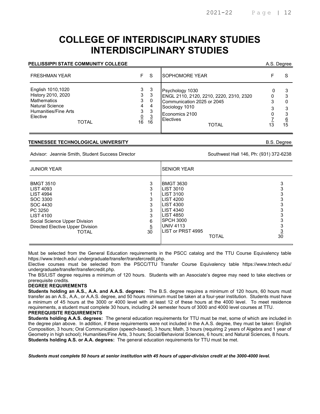# COLLEGE OF INTERDISCIPLINARY STUDIES INTERDISCIPLINARY STUDIES

#### PELLISSIPPI STATE COMMUNITY COLLEGE A.S. Degree A.S. Degree

| <b>FRESHMAN YEAR</b>                                                                                                                        | F.                                             | -S                                             | <b>SOPHOMORE YEAR</b>                                                                                                                                     |                          |
|---------------------------------------------------------------------------------------------------------------------------------------------|------------------------------------------------|------------------------------------------------|-----------------------------------------------------------------------------------------------------------------------------------------------------------|--------------------------|
| English 1010,1020<br>History 2010, 2020<br><b>Mathematics</b><br><b>Natural Science</b><br>Humanities/Fine Arts<br>Elective<br><b>TOTAL</b> | 3<br>3<br>3<br>4<br>3<br>$\underline{0}$<br>16 | -3<br>3<br>0<br>4<br>3<br>$\overline{3}$<br>16 | Psychology 1030<br>ENGL 2110, 2120, 2210, 2220, 2310, 2320<br>Communication 2025 or 2045<br>Sociology 1010<br>Economics 2100<br>Electives<br><b>TOTAL</b> | З<br>3<br><u>6</u><br>15 |

#### TENNESSEE TECHNOLOGICAL UNIVERSITY B.S. Degree

Advisor: Jeannie Smith, Student Success Director Success And The Southwest Hall 146, Ph: (931) 372-6238

| <b>JUNIOR YEAR</b>                                                                                                                                                                                   |                                         | <b>SENIOR YEAR</b>                                                                                                                                                                                                     |                 |
|------------------------------------------------------------------------------------------------------------------------------------------------------------------------------------------------------|-----------------------------------------|------------------------------------------------------------------------------------------------------------------------------------------------------------------------------------------------------------------------|-----------------|
| <b>BMGT 3510</b><br><b>LIST 4093</b><br><b>LIST 4994</b><br>SOC 3300<br>SOC 4430<br>PC 3250<br><b>LIST 4100</b><br>Social Science Upper Division<br>Directed Elective Upper Division<br><b>TOTAL</b> | 3<br>3<br>3<br>3<br>6<br>$\frac{5}{30}$ | <b>BMGT 3630</b><br><b>LIST 3010</b><br><b>LIST 3100</b><br><b>LIST 4200</b><br>LIST 4300<br><b>LIST 4340</b><br><b>LIST 4850</b><br><b>SPCH 3000</b><br><b>UNIV 4113</b><br><b>ILIST or PRST 4995</b><br><b>TOTAL</b> | $3\overline{0}$ |
|                                                                                                                                                                                                      |                                         |                                                                                                                                                                                                                        |                 |

Must be selected from the General Education requirements in the PSCC catalog and the TTU Course Equivalency table https://www.tntech.edu/ undergraduate/transfer/transfercredit.php.

Elective courses must be selected from the PSCC/TTU Transfer Course Equivalency table https://www.tntech.edu/ undergraduate/transfer/transfercredit.php.

The BS/LIST degree requires a minimum of 120 hours. Students with an Associate's degree may need to take electives or prerequisite credits.

#### DEGREE REQUIREMENTS

Students holding an A.S., A.A. and A.A.S. degrees: The B.S. degree requires a minimum of 120 hours, 60 hours must transfer as an A.S., A.A., or A.A.S. degree, and 50 hours minimum must be taken at a four-year institution. Students must have a minimum of 45 hours at the 3000 or 4000 level with at least 12 of these hours at the 4000 level. To meet residence requirements, a student must complete 30 hours, including 24 semester hours of 3000 and 4000 level courses at TTU. PREREQUISITE REQUIREMENTS

Students holding A.A.S. degrees: The general education requirements for TTU must be met, some of which are included in the degree plan above. In addition, if these requirements were not included in the A.A.S. degree, they must be taken: English Composition, 3 hours; Oral Communication (speech-based), 3 hours; Math, 3 hours (requiring 2 years of Algebra and 1 year of Geometry in high school); Humanities/Fine Arts, 3 hours; Social/Behavioral Sciences, 6 hours; and Natural Sciences, 8 hours. Students holding A.S. or A.A. degrees: The general education requirements for TTU must be met.

Students must complete 50 hours at senior institution with 45 hours of upper-division credit at the 3000-4000 level.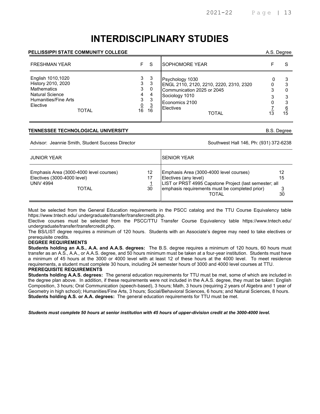# INTERDISCIPLINARY STUDIES

#### PELLISSIPPI STATE COMMUNITY COLLEGE AND A SUMMAN SERVICE SERVICE SERVICE SERVICE SERVICE SERVICE SERVICE SERVICE SERVICE SERVICE SERVICE SERVICE SERVICE SERVICE SERVICE SERVICE SERVICE SERVICE SERVICE SERVICE SERVICE SERVI

| <b>FRESHMAN YEAR</b>                                                                                                                 | F.                                             | -S                            | <b>SOPHOMORE YEAR</b>                                                                                                                                     |    |
|--------------------------------------------------------------------------------------------------------------------------------------|------------------------------------------------|-------------------------------|-----------------------------------------------------------------------------------------------------------------------------------------------------------|----|
| English 1010,1020<br>History 2010, 2020<br><b>Mathematics</b><br><b>Natural Science</b><br>Humanities/Fine Arts<br>Elective<br>TOTAL | 3<br>3<br>3<br>4<br>3<br>$\underline{0}$<br>16 | -3<br>-3<br>0<br>4<br>3<br>16 | Psychology 1030<br>ENGL 2110, 2120, 2210, 2220, 2310, 2320<br>Communication 2025 or 2045<br>Sociology 1010<br>Economics 2100<br>Electives<br><b>TOTAL</b> | 15 |

#### TENNESSEE TECHNOLOGICAL UNIVERSITY B.S. Degree

Advisor: Jeannie Smith, Student Success Director Southwest Hall 146, Ph: (931) 372-6238

| <b>JUNIOR YEAR</b>                                                                                  |                | <b>ISENIOR YEAR</b>                                                                                                                                                                   |                |
|-----------------------------------------------------------------------------------------------------|----------------|---------------------------------------------------------------------------------------------------------------------------------------------------------------------------------------|----------------|
| Emphasis Area (3000-4000 level courses)<br>Electives (3000-4000 level)<br><b>UNIV 4994</b><br>TOTAL | 12<br>17<br>30 | Emphasis Area (3000-4000 level courses)<br>Electives (any level)<br>LIST or PRST 4995 Capstone Project (last semester; all<br>emphasis requirements must be completed prior)<br>TOTAL | 12<br>15<br>30 |

Must be selected from the General Education requirements in the PSCC catalog and the TTU Course Equivalency table https://www.tntech.edu/ undergraduate/transfer/transfercredit.php.

Elective courses must be selected from the PSCC/TTU Transfer Course Equivalency table https://www.tntech.edu/ undergraduate/transfer/transfercredit.php.

The BS/LIST degree requires a minimum of 120 hours. Students with an Associate's degree may need to take electives or prerequisite credits.

#### DEGREE REQUIREMENTS

Students holding an A.S., A.A. and A.A.S. degrees: The B.S. degree requires a minimum of 120 hours, 60 hours must transfer as an A.S., A.A., or A.A.S. degree, and 50 hours minimum must be taken at a four-year institution. Students must have a minimum of 45 hours at the 3000 or 4000 level with at least 12 of these hours at the 4000 level. To meet residence requirements, a student must complete 30 hours, including 24 semester hours of 3000 and 4000 level courses at TTU.

#### PREREQUISITE REQUIREMENTS

Students holding A.A.S. degrees: The general education requirements for TTU must be met, some of which are included in the degree plan above. In addition, if these requirements were not included in the A.A.S. degree, they must be taken: English Composition, 3 hours; Oral Communication (speech-based), 3 hours; Math, 3 hours (requiring 2 years of Algebra and 1 year of Geometry in high school); Humanities/Fine Arts, 3 hours; Social/Behavioral Sciences, 6 hours; and Natural Sciences, 8 hours. Students holding A.S. or A.A. degrees: The general education requirements for TTU must be met.

Students must complete 50 hours at senior institution with 45 hours of upper-division credit at the 3000-4000 level.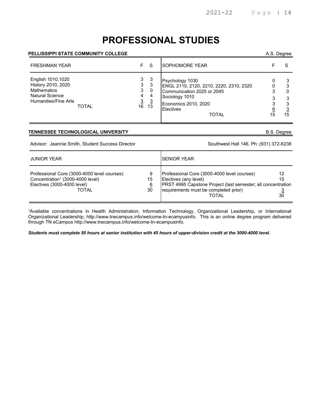# PROFESSIONAL STUDIES

#### PELLISSIPPI STATE COMMUNITY COLLEGE A.S. Degree

| <b>FRESHMAN YEAR</b>                                                                                            |              | F.                                                                                 | -S                | ISOPHOMORE YEAR                                                                                                                                                        |         |
|-----------------------------------------------------------------------------------------------------------------|--------------|------------------------------------------------------------------------------------|-------------------|------------------------------------------------------------------------------------------------------------------------------------------------------------------------|---------|
| English 1010,1020<br>History 2010, 2020<br><b>Mathematics</b><br><b>Natural Science</b><br>Humanities/Fine Arts | <b>TOTAL</b> | 3<br>3<br>3<br>4<br>$\begin{array}{cc}\n 3 & 3 \\  \hline\n 16 & 13\n \end{array}$ | -3<br>3<br>0<br>4 | Psychology 1030<br>ENGL 2110, 2120, 2210, 2220, 2310, 2320<br>Communication 2025 or 2045<br>Sociology 1010<br>Economics 2010, 2020<br><b>Electives</b><br><b>TOTAL</b> | 3<br>15 |

#### TENNESSEE TECHNOLOGICAL UNIVERSITY GERALD BESSEE TECHNOLOGICAL UNIVERSITY

Advisor: Jeannie Smith, Student Success Director Southwest Hall 146, Ph: (931) 372-6238

| <b>JUNIOR YEAR</b>                                                                                                                         |                           | <b>SENIOR YEAR</b>                                                                                                                                                                                   |                |
|--------------------------------------------------------------------------------------------------------------------------------------------|---------------------------|------------------------------------------------------------------------------------------------------------------------------------------------------------------------------------------------------|----------------|
| Professional Core (3000-4000 level courses)<br>Concentration <sup>1</sup> (3000-4000 level)<br>Electives (3000-4000 level)<br><b>TOTAL</b> | 9<br>15<br><u>6</u><br>30 | Professional Core (3000-4000 level courses)<br>Electives (any level)<br><b>PRST 4995 Capstone Project (last semester; all concentration</b><br>requirements must be completed prior)<br><b>TOTAL</b> | 12<br>15<br>30 |

<sup>1</sup>Available concentrations in Health Administration, Information Technology, Organizational Leadership, or International Organizational Leadership, http://www.tnecampus.info/welcome-tn-ecampusinfo. This is an online degree program delivered through TN eCampus http://www.tnecampus.info/welcome-tn-ecampusinfo.

Students must complete 50 hours at senior institution with 45 hours of upper-division credit at the 3000-4000 level.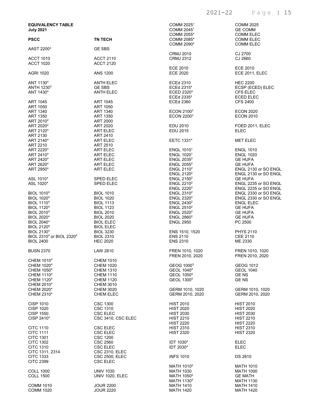| <b>EQUIVALENCY TABLE</b><br><b>July 2021</b>                                                                                                               |                                                                                                                                          | COMM 2025 <sup>1</sup><br>COMM 2045 <sup>1</sup><br>COMM 2055*                                                                           | <b>COMM 2025</b><br><b>GE COMM</b><br><b>COMM ELEC</b>                                                                            |
|------------------------------------------------------------------------------------------------------------------------------------------------------------|------------------------------------------------------------------------------------------------------------------------------------------|------------------------------------------------------------------------------------------------------------------------------------------|-----------------------------------------------------------------------------------------------------------------------------------|
| <b>PSCC</b>                                                                                                                                                | <b>TN TECH</b>                                                                                                                           | COMM 2085*<br>COMM 2090*                                                                                                                 | <b>COMM ELEC</b><br><b>COMM ELEC</b>                                                                                              |
| AAST 2200 <sup>3</sup>                                                                                                                                     | <b>GE SBS</b>                                                                                                                            |                                                                                                                                          |                                                                                                                                   |
| <b>ACCT 1010</b><br><b>ACCT 1020</b>                                                                                                                       | <b>ACCT 2110</b><br><b>ACCT 2120</b>                                                                                                     | <b>CRMJ 2010</b><br><b>CRMJ 2312</b>                                                                                                     | CJ 2700<br>CJ 2660                                                                                                                |
| <b>AGRI 1020</b>                                                                                                                                           | <b>ANS 1200</b>                                                                                                                          | ECE 2010<br>ECE 2020                                                                                                                     | ECE 2010<br>ECE 2011, ELEC                                                                                                        |
| ANT 1130*<br>ANTH 1230 <sup>3</sup><br>ANT 1430*<br>ART 1045                                                                                               | ANTH ELEC<br><b>GE SBS</b><br><b>ANTH ELEC</b><br>ART 1045                                                                               | <b>ECEd 2310</b><br>ECEd 2315*<br>ECED 2320*<br>ECEd 2335*<br><b>ECEd 2360</b>                                                           | <b>HEC 2200</b><br>ECSP (ECED) ELEC<br>CFS ELEC<br><b>ECED ELEC</b><br><b>CFS 2400</b>                                            |
| ART 1050<br>ART 1340<br>ART 1350<br>ART 2010 <sup>2</sup>                                                                                                  | ART 1050<br>ART 1340<br>ART 1350<br>ART 2000                                                                                             | ECON 2100 <sup>3</sup><br>ECON 2200 <sup>3</sup>                                                                                         | <b>ECON 2020</b><br><b>ECON 2010</b>                                                                                              |
| ART 2020 <sup>2</sup><br>ART 2120*<br>ART 2130                                                                                                             | ART 2020<br>ART ELEC<br>ART 2410                                                                                                         | EDU 2010<br>EDU 2015                                                                                                                     | FOED 2011, ELEC<br><b>ELEC</b>                                                                                                    |
| ART 2140*<br>ART 2210                                                                                                                                      | ART ELEC<br>ART 2510                                                                                                                     | EETC 1331*                                                                                                                               | <b>MET ELEC</b>                                                                                                                   |
| ART 2220*<br>ART 2410*<br>ART 2420*<br>ART 2620*<br>ART 2950*                                                                                              | ART ELEC<br>ART ELEC<br>ART ELEC<br>ART ELEC<br>ART ELEC                                                                                 | <b>ENGL 10101</b><br>ENGL 1020 <sup>1</sup><br>ENGL $2035^2$<br>ENGL $2055^2$<br>ENGL 2110 <sup>2</sup><br>ENGL 2120 <sup>2</sup>        | <b>ENGL 1010</b><br><b>ENGL 1020</b><br><b>GE HUFA</b><br><b>GE HUFA</b><br>ENGL 2130 or SO ENGL<br>ENGL 2130 or SO ENGL          |
| ASL 1010*<br>ASL 1020*                                                                                                                                     | <b>SPED ELEC</b><br><b>SPED ELEC</b>                                                                                                     | ENGL 2150 <sup>2</sup><br>ENGL $2210^2$<br>ENGL $2220^2$                                                                                 | <b>GE HUFA</b><br>ENGL 2235 or SO ENGL<br>ENGL 2235 or SO ENGL                                                                    |
| <b>BIOL 10104</b><br><b>BIOL 10204</b><br><b>BIOL 11104</b><br><b>BIOL 11204</b><br>BIOL 2010 <sup>4</sup><br>BIOL 2020 <sup>4</sup><br><b>BIOL 2040*</b>  | <b>BIOL 1010</b><br><b>BIOL 1020</b><br><b>BIOL 1113</b><br><b>BIOL 1123</b><br><b>BIOL 2010</b><br><b>BIOL 2020</b><br><b>BIOL ELEC</b> | ENGL 2310 <sup>2</sup><br>ENGL 2320 <sup>2</sup><br>ENGL $2430^2$<br>ENGL $2510^2$<br>ENGL $2520^2$<br>ENGL $2860^2$<br><b>ENGL 2950</b> | ENGL 2330 or SO ENGL<br>ENGL 2330 or SO ENGL<br><b>ENGL ELEC</b><br><b>GE HUFA</b><br><b>GE HUFA</b><br><b>GE HUFA</b><br>PC 2500 |
| BIOL 2120*<br>BIOL 2130*<br>BIOL 2310 <sup>4</sup> or BIOL 2320 <sup>4</sup><br><b>BIOL 2400</b>                                                           | <b>BIOL ELEC</b><br><b>BIOL 3230</b><br><b>BIOL 2310</b><br><b>HEC 2020</b>                                                              | ENS 1510, 1520<br><b>ENS 2110</b><br><b>ENS 2310</b>                                                                                     | <b>PHYS 2110</b><br>CEE 2110<br>ME 2330                                                                                           |
| <b>BUSN 2370</b>                                                                                                                                           | LAW 2810                                                                                                                                 | FREN 1010, 1020<br>FREN 2010, 2020                                                                                                       | FREN 1010, 1020<br>FREN 2010, 2020                                                                                                |
| CHEM 1010 <sup>4</sup><br>CHEM 1020 <sup>4</sup><br>CHEM 1050 <sup>4</sup><br>CHEM 1110 <sup>4</sup><br>CHEM 1120 <sup>4</sup><br>CHEM 2010*<br>CHEM 2020* | <b>CHEM 1010</b><br><b>CHEM 1020</b><br><b>CHEM 1310</b><br><b>CHEM 1110</b><br><b>CHEM 1120</b><br><b>CHEM 3010</b><br><b>CHEM 3020</b> | GEOG 1000 <sup>3</sup><br>GEOL 1040 <sup>4</sup><br>GEOL 1050 <sup>4</sup><br>GEOL 1300 <sup>4</sup><br>GERM 1010, 1020                  | GEOG 1012<br><b>GEOL 1040</b><br><b>GENS</b><br><b>GENS</b><br>GERM 1010, 1020                                                    |
| CHEM 2310*<br><b>CISP 1010</b><br><b>CISP 1020</b>                                                                                                         | <b>CHEM ELEC</b><br><b>CSC 1300</b><br>CSC 1310                                                                                          | GERM 2010, 2020<br><b>HIST 2010</b><br><b>HIST 2020</b>                                                                                  | GERM 2010, 2020<br><b>HIST 2010</b><br><b>HIST 2020</b>                                                                           |
| <b>CISP 1550</b><br>CISP 2410*                                                                                                                             | <b>CSC ELEC</b><br>CSC 3410, CSC ELEC                                                                                                    | <b>HIST 2030</b><br><b>HIST 2210</b><br><b>HIST 2220</b>                                                                                 | <b>HIST 2030</b><br><b>HIST 2210</b><br><b>HIST 2220</b>                                                                          |
| <b>CITC 1110</b><br><b>CITC 1111</b><br><b>CITC 1301</b>                                                                                                   | <b>CSC ELEC</b><br>CSC ELEC<br><b>CSC 1200</b>                                                                                           | <b>HIST 2310</b><br><b>HIST 2320</b>                                                                                                     | <b>HIST 2310</b><br><b>HIST 2320</b>                                                                                              |
| <b>CITC 1302</b><br><b>CITC 1310</b><br>CITC 1311, 2314<br>CITC 1333                                                                                       | CSC 2560<br>CSC ELEC<br>CSC 2310, ELEC<br><b>CSC 2500, ELEC</b>                                                                          | <b>IDT 1030*</b><br>IDT 2030*<br><b>INFS 1010</b>                                                                                        | ELEC<br><b>ELEC</b><br>DS 2810                                                                                                    |
| <b>CITC 2399</b><br><b>COLL 1000</b>                                                                                                                       | <b>CSC ELEC</b><br><b>UNIV 1030</b>                                                                                                      | MATH 1010 <sup>5</sup><br><b>MATH 1030</b>                                                                                               | <b>MATH 1010</b><br><b>MATH 1000</b>                                                                                              |
| <b>COLL 1500</b><br><b>COMM 1010</b><br><b>COMM 1020</b>                                                                                                   | <b>UNIV 1020, ELEC</b><br><b>JOUR 2200</b><br><b>JOUR 2220</b>                                                                           | MATH 1050 <sup>5</sup><br>MATH 1130 <sup>5</sup><br><b>MATH 1410</b><br><b>MATH 1420</b>                                                 | <b>GE MATH</b><br><b>MATH 1130</b><br><b>MATH 1410</b><br><b>MATH 1420</b>                                                        |

2021-22 Page | 15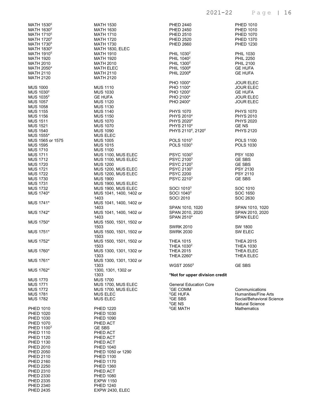| MATH 1530 <sup>5</sup>                                                                                                                                                                                                                                                                               | <b>MATH 1530</b>                              |
|------------------------------------------------------------------------------------------------------------------------------------------------------------------------------------------------------------------------------------------------------------------------------------------------------|-----------------------------------------------|
| MATH 1630 <sup>5</sup>                                                                                                                                                                                                                                                                               | <b>MATH 1630</b>                              |
| MATH 1710 <sup>5</sup><br>MATH 1720 <sup>5</sup>                                                                                                                                                                                                                                                     | <b>MATH 1710</b><br><b>MATH 1720</b>          |
| MATH 1730 <sup>5</sup>                                                                                                                                                                                                                                                                               | MATH 1730                                     |
| MATH 1830 <sup>5</sup>                                                                                                                                                                                                                                                                               | MATH 1830, ELEC                               |
| MATH 1910 <sup>5</sup>                                                                                                                                                                                                                                                                               | <b>MATH 1910</b>                              |
|                                                                                                                                                                                                                                                                                                      | <b>MATH 1920</b>                              |
|                                                                                                                                                                                                                                                                                                      | <b>MATH 2010</b>                              |
|                                                                                                                                                                                                                                                                                                      | <b>MATH ELEC</b>                              |
|                                                                                                                                                                                                                                                                                                      | <b>MATH 2110</b><br><b>MATH 2120</b>          |
| 19,<br>1920<br>2010<br>12050*<br>12110<br>H2120<br>31000<br>51030 <sup>2</sup><br>S1035 <sup>2</sup><br>IS 1057<br>IS 1057<br>IS 1058<br>US 155<br>US 1515<br>IUS 1511<br>MUS 1521<br>WUS 1540<br>NUS 1540<br>NUS 1556<br>NUS 1556<br>NUS 1556<br>MUS 1556<br>MUS 1556<br>MUS 1556<br>MUS 1555<br>MU |                                               |
|                                                                                                                                                                                                                                                                                                      | <b>MUS 1110</b>                               |
|                                                                                                                                                                                                                                                                                                      | <b>MUS 1030</b>                               |
|                                                                                                                                                                                                                                                                                                      | <b>GE HUFA</b>                                |
|                                                                                                                                                                                                                                                                                                      | <b>MUS 1120</b>                               |
|                                                                                                                                                                                                                                                                                                      | <b>MUS 1130</b><br><b>MUS 1140</b>            |
|                                                                                                                                                                                                                                                                                                      | <b>MUS 1150</b>                               |
|                                                                                                                                                                                                                                                                                                      | <b>MUS 1070</b>                               |
|                                                                                                                                                                                                                                                                                                      | <b>MUS 1070</b>                               |
|                                                                                                                                                                                                                                                                                                      | <b>MUS 1090</b>                               |
|                                                                                                                                                                                                                                                                                                      | <b>MUS ELEC</b>                               |
|                                                                                                                                                                                                                                                                                                      | <b>MUS 1005</b>                               |
|                                                                                                                                                                                                                                                                                                      | <b>MUS 1015</b><br><b>MUS 1100</b>            |
|                                                                                                                                                                                                                                                                                                      | MUS 1100, MUS ELEC                            |
|                                                                                                                                                                                                                                                                                                      | MUS 1100, MUS ELEC                            |
|                                                                                                                                                                                                                                                                                                      | <b>MUS 1200</b>                               |
|                                                                                                                                                                                                                                                                                                      | MUS 1200, MUS ELEC                            |
|                                                                                                                                                                                                                                                                                                      | MUS 1200, MUS ELEC                            |
|                                                                                                                                                                                                                                                                                                      | <b>MUS 1900</b>                               |
| <b>MUS 1731</b>                                                                                                                                                                                                                                                                                      | MUS 1900, MUS ELEC                            |
| MUS 1732<br>MUS 1740*                                                                                                                                                                                                                                                                                | MUS 1900, MUS ELEC<br>MUS 1041, 1400, 1402 or |
|                                                                                                                                                                                                                                                                                                      | 1403                                          |
| MUS 1741*                                                                                                                                                                                                                                                                                            | MUS 1041, 1400, 1402 or                       |
|                                                                                                                                                                                                                                                                                                      | 1403                                          |
| MUS 1742*                                                                                                                                                                                                                                                                                            | MUS 1041, 1400, 1402 or                       |
|                                                                                                                                                                                                                                                                                                      | 1403                                          |
| MUS 1750*                                                                                                                                                                                                                                                                                            | MUS 1500, 1501, 1502 or<br>1503               |
| MUS 1751*                                                                                                                                                                                                                                                                                            | MUS 1500, 1501, 1502 or                       |
|                                                                                                                                                                                                                                                                                                      | 1503                                          |
| MUS 1752*                                                                                                                                                                                                                                                                                            | MUS 1500, 1501, 1502 or                       |
|                                                                                                                                                                                                                                                                                                      | 1503                                          |
| MUS 1760*                                                                                                                                                                                                                                                                                            | MUS 1300, 1301, 1302 or                       |
|                                                                                                                                                                                                                                                                                                      | 1303                                          |
| MUS 1761*                                                                                                                                                                                                                                                                                            | MUS 1300, 1301, 1302 or<br>1303               |
| MUS 1762*                                                                                                                                                                                                                                                                                            | 1300, 1301, 1302 or                           |
|                                                                                                                                                                                                                                                                                                      | 1303                                          |
| <b>MUS 1770</b>                                                                                                                                                                                                                                                                                      | <b>MUS 1700</b>                               |
| <b>MUS 1771</b>                                                                                                                                                                                                                                                                                      | MUS 1700, MUS ELEC                            |
| <b>MUS 1772</b>                                                                                                                                                                                                                                                                                      | MUS 1700, MUS ELEC                            |
| <b>MUS 1781</b><br><b>MUS 1782</b>                                                                                                                                                                                                                                                                   | <b>MUS ELEC</b>                               |
|                                                                                                                                                                                                                                                                                                      | <b>MUS ELEC</b>                               |
| <b>PHED 1010</b>                                                                                                                                                                                                                                                                                     | <b>PHED 1220</b>                              |
| <b>PHED 1020</b>                                                                                                                                                                                                                                                                                     | <b>PHED 1030</b>                              |
| <b>PHED 1030</b>                                                                                                                                                                                                                                                                                     | <b>PHED 1090</b>                              |
| <b>PHED 1070</b>                                                                                                                                                                                                                                                                                     | PHED ACT                                      |
| PHED 1100 <sup>3</sup>                                                                                                                                                                                                                                                                               | <b>GE SBS</b>                                 |
| <b>PHED 1110</b><br><b>PHED 1120</b>                                                                                                                                                                                                                                                                 | PHED ACT<br>PHED ACT                          |
| <b>PHED 1130</b>                                                                                                                                                                                                                                                                                     | PHED ACT                                      |
| <b>PHED 2010</b>                                                                                                                                                                                                                                                                                     | <b>PHED 1040</b>                              |
| <b>PHED 2050</b>                                                                                                                                                                                                                                                                                     | PHED 1050 or 1290                             |
| <b>PHED 2110</b>                                                                                                                                                                                                                                                                                     | <b>PHED 1100</b>                              |
| <b>PHED 2160</b>                                                                                                                                                                                                                                                                                     | <b>PHED 1170</b>                              |
| <b>PHED 2250</b>                                                                                                                                                                                                                                                                                     | <b>PHED 1360</b>                              |
| <b>PHED 2310</b>                                                                                                                                                                                                                                                                                     | PHED ACT                                      |
| <b>PHED 2330</b><br><b>PHED 2335</b>                                                                                                                                                                                                                                                                 | <b>PHED 1080</b><br><b>EXPW 1150</b>          |
| <b>PHED 2340</b>                                                                                                                                                                                                                                                                                     | <b>PHED 1240</b>                              |
| <b>PHED 2435</b>                                                                                                                                                                                                                                                                                     | EXPW 2430, ELEC                               |

| <b>PHED 2440</b>                                                                                                                                   | <b>PHED 1010</b>                                                                                                    |
|----------------------------------------------------------------------------------------------------------------------------------------------------|---------------------------------------------------------------------------------------------------------------------|
| <b>PHED 2450</b>                                                                                                                                   | <b>PHED 1010</b>                                                                                                    |
| <b>PHED 2510</b>                                                                                                                                   | <b>PHED 1070</b>                                                                                                    |
| <b>PHED 2520</b>                                                                                                                                   | <b>PHED 1370</b>                                                                                                    |
| <b>PHED 2660</b>                                                                                                                                   | <b>PHED 1230</b>                                                                                                    |
| PHIL 1030 <sup>2</sup>                                                                                                                             | <b>PHIL 1030</b>                                                                                                    |
| PHIL 1040 <sup>2</sup>                                                                                                                             | <b>PHIL 2250</b>                                                                                                    |
| PHIL 1300 <sup>2</sup>                                                                                                                             | <b>PHIL 2100</b>                                                                                                    |
| PHIL 1500 <sup>2</sup>                                                                                                                             | <b>GE HUFA</b>                                                                                                      |
| PHIL 2200 <sup>2</sup>                                                                                                                             | <b>GE HUFA</b>                                                                                                      |
| PHO 1000*                                                                                                                                          | JOUR ELEC                                                                                                           |
| PHO 1100*                                                                                                                                          | <b>JOUR ELEC</b>                                                                                                    |
| PHO 1200 <sup>2</sup>                                                                                                                              | <b>GE HUFA</b>                                                                                                      |
| PHO 2100*                                                                                                                                          | <b>JOUR ELEC</b>                                                                                                    |
| PHO 2400*                                                                                                                                          | <b>JOUR ELEC</b>                                                                                                    |
| <b>PHYS 1070</b>                                                                                                                                   | <b>PHYS 1070</b>                                                                                                    |
| PHYS 2010 <sup>4</sup>                                                                                                                             | <b>PHYS 2010</b>                                                                                                    |
| PHYS 2020 <sup>4</sup>                                                                                                                             | <b>PHYS 2020</b>                                                                                                    |
| PHYS 2110 <sup>4</sup>                                                                                                                             | GE NS                                                                                                               |
| PHYS 2110 <sup>4</sup> , 2120 <sup>4</sup>                                                                                                         | <b>PHYS 2120</b>                                                                                                    |
| POLS 1010 <sup>3</sup>                                                                                                                             | <b>POLS 1100</b>                                                                                                    |
| POLS 1030 <sup>3</sup>                                                                                                                             | <b>POLS 1030</b>                                                                                                    |
| PSYC 1030 <sup>3</sup>                                                                                                                             | <b>PSY 1030</b>                                                                                                     |
| PSYC 21003                                                                                                                                         | <b>GE SBS</b>                                                                                                       |
| PSYC 2120 <sup>3</sup>                                                                                                                             | <b>GE SBS</b>                                                                                                       |
| PSYC 2130 <sup>3</sup>                                                                                                                             | PSY 2130                                                                                                            |
| <b>PSYC 2200</b>                                                                                                                                   | PSY 2110                                                                                                            |
| PSYC 2210 <sup>3</sup>                                                                                                                             | <b>GE SBS</b>                                                                                                       |
| SOCI 1010 <sup>3</sup>                                                                                                                             | SOC 1010                                                                                                            |
| SOCI 1040 <sup>3</sup>                                                                                                                             | SOC 1650                                                                                                            |
| <b>SOCI 2010</b>                                                                                                                                   | SOC 2630                                                                                                            |
| SPAN 1010, 1020                                                                                                                                    | SPAN 1010, 1020                                                                                                     |
| SPAN 2010, 2020                                                                                                                                    | SPAN 2010, 2020                                                                                                     |
| SPAN 2510*                                                                                                                                         | <b>SPAN ELEC</b>                                                                                                    |
| <b>SWRK 2010</b>                                                                                                                                   | SW 1800                                                                                                             |
| <b>SWRK 2030</b>                                                                                                                                   | SW ELEC                                                                                                             |
| <b>THEA 1015</b>                                                                                                                                   | <b>THEA 2015</b>                                                                                                    |
| THEA 1030 <sup>2</sup>                                                                                                                             | <b>THEA 1030</b>                                                                                                    |
| <b>THEA 2015</b>                                                                                                                                   | <b>THEA ELEC</b>                                                                                                    |
| THEA 2260*                                                                                                                                         | THEA ELEC                                                                                                           |
| <b>WGST 20503</b>                                                                                                                                  | <b>GE SBS</b>                                                                                                       |
| *Not for upper division credit                                                                                                                     |                                                                                                                     |
| <b>General Education Core</b><br><sup>1</sup> GE COMM<br><sup>2</sup> GE HUFA<br><sup>3</sup> GE SBS<br><sup>4</sup> GE NS<br><sup>5</sup> GE MATH | Communications<br><b>Humanities/Fine Arts</b><br>Social/Behavioral Science<br><b>Natural Science</b><br>Mathematics |
|                                                                                                                                                    |                                                                                                                     |
|                                                                                                                                                    |                                                                                                                     |
|                                                                                                                                                    |                                                                                                                     |